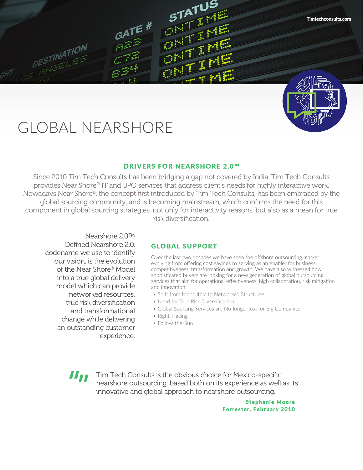# GLOBAL NEARSHORE

**DESTINATION** 

ESTIN<br>Finitiet

 $GATE$ #

# DRIVERS FOR NEARSHORE 2.0™

STATUS<br><sup>11</sup> 1 **STATUP** 

 $\frac{\partial\mathbb{E}}{\partial\mathbb{E}}\frac{\mathbb{E}}{\mathbb{E}}$ 

 $\frac{\partial M}{\partial \mathbf{M}}\frac{\partial \mathbf{M}}{\partial \mathbf{M}}$ 

Since 2010 Tim Tech Consults has been bridging a gap not covered by India. Tim Tech Consults provides Near Shore® IT and BPO services that address client's needs for highly interactive work. Nowadays Near Shore®, the concept first introduced by Tim Tech Consults, has been embraced by the global sourcing community, and is becoming mainstream, which confirms the need for this component in global sourcing strategies, not only for interactivity reasons, but also as a mean for true risk diversification.

Nearshore 2.0™ Defined Nearshore 2.0, codename we use to identify our vision, is the evolution of the Near Shore® Model into a true global delivery model which can provide networked resources, true risk diversification and transformational change while delivering an outstanding customer experience.

# GLOBAL SUPPORT

Over the last two decades we have seen the offshore outsourcing market evolving from offering cost savings to serving as an enabler for business competitiveness, transformation and growth. We have also witnessed how sophisticated buyers are looking for a new generation of global outsourcing services that aim for operational effectiveness, high collaboration, risk mitigation and innovation.

- Shift from Monolithic to Networked Structures
- Need for True Risk Diversification
- Global Sourcing Services are No-longer just for Big Companies
- Right-Placing
- Follow-the-Sun

"" "

Tim Tech Consults is the obvious choice for Mexico-specific nearshore outsourcing, based both on its experience as well as its innovative and global approach to nearshore outsourcing.

> Stephanie Moore Forrester, February 2010